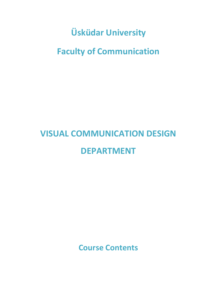**Üsküdar University**

**Faculty of Communication**

# **VISUAL COMMUNICATION DESIGN DEPARTMENT**

**Course Contents**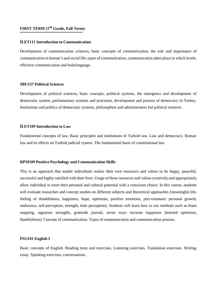# **FIRST TERM (1st Grade, Fall Term)**

#### **İLET111 Introduction to Communication**

Development of communication sciences, basic concepts of communication, the role and importance of communication in human's and social life, types of communication, communication takes place in which levels, effective communication and bodylanguage.

## **SBU157 Political Sciences**

Development of political sciences, basic concepts, political systems, the emergence and development of democratic system, parliamentary systems and processes, development and process of democracy in Turkey. Institutions and politics of democratic systems, philosophers and administrators led political sciences.

#### **İLET109 Introduction to Law**

Fundamental concepts of law. Basic principles and institutions of Turkish law. Law and democracy. Roman law and its effects on Turkish judicial system. The fundamental basis of constitutional law.

#### **RPSİ109 Positive Psychology and Communication Skills**

This is an approach that enable individuals realize their own resources and values to be happy, peaceful, successful and highly satisfied with their lives. Usage of these resources and values creatively and appropriately allow individual to exert their personal and cultural potential with a conscious choice. In this course, students will evaluate researches and concept studies on different subjects and theoretical approaches (meaningful life, feeling of thankfulness, happiness, hope, optimism, positive emotions, port-traumatic personal growth, endurance, self-perception, strength, time perception). Students will learn how to use methods such as brain mapping, signature strengths, gratitude journal, seven ways increase happiness (learned optimism, thankfulness). Concept of communication. Types of communication and communication process.

#### **İNG101 English I**

Basic concepts of English. Reading texts and exercises. Listening exercises. Translation exercises. Writing essay. Speaking exercises, conversations.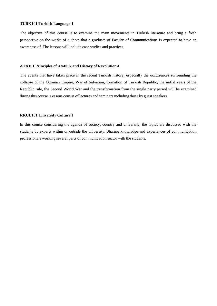#### **TURK101 Turkish Language-I**

The objective of this course is to examine the main movements in Turkish literature and bring a fresh perspective on the works of authors that a graduate of Faculty of Communications is expected to have an awareness of. The lessons will include case studies and practices.

## **ATA101 Principles of Atatürk and History of Revolution-I**

The events that have taken place in the recent Turkish history; especially the occurrences surrounding the collapse of the Ottoman Empire, War of Salvation, formation of Turkish Republic, the initial years of the Republic rule, the Second World War and the transformation from the single party period will be examined during this course. Lessons consist of lectures and seminars including those by guest speakers.

## **RKUL101 University Culture I**

In this course considering the agenda of society, country and university, the topics are discussed with the students by experts within or outside the university. Sharing knowledge and experiences of communication professionals working several parts of communication sector with the students.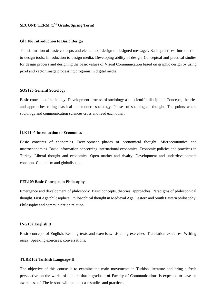#### **GİT106 Introduction to Basic Design**

Transformation of basic concepts and elements of design to designed messages. Basic practices. Introduction to design tools. Introduction to design media. Developing ability of design. Conceptual and practical studies for design process and designing the basic values of Visual Communication based on graphic design by using pixel and vector image processing programs in digital media.

#### **SOS126 General Sociology**

Basic concepts of sociology. Development process of sociology as a scientific discipline. Concepts, theories and approaches ruling classical and modern sociology. Phases of sociological thought. The points where sociology and communication sciences cross and feed each other.

#### **İLET106 Introduction to Economics**

Basic concepts of economics. Development phases of economical thought. Microeconomics and macroeconomics. Basic information concerning international economics. Economic policies and practices in Turkey. Liberal thought and economics. Open market and rivalry. Development and underdevelopment concepts. Capitalism and globalisation.

#### **FEL109 Basic Concepts in Philosophy**

Emergence and development of philosophy. Basic concepts, theories, approaches. Paradigms of philosophical thought. First Age philosophers. Philosophical thought in Medieval Age. Eastern and South Eastern philosophy. Philosophy and communication relation.

# **İNG102 English II**

Basic concepts of English. Reading texts and exercises. Listening exercises. Translation exercises. Writing essay. Speaking exercises, conversations.

# **TURK102 Turkish Language-II**

The objective of this course is to examine the main movements in Turkish literature and bring a fresh perspective on the works of authors that a graduate of Faculty of Communications is expected to have an awareness of. The lessons will include case studies and practices.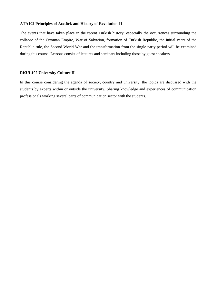#### **ATA102 Principles of Atatürk and History of Revolution-II**

The events that have taken place in the recent Turkish history; especially the occurrences surrounding the collapse of the Ottoman Empire, War of Salvation, formation of Turkish Republic, the initial years of the Republic rule, the Second World War and the transformation from the single party period will be examined during this course. Lessons consist of lectures and seminars including those by guest speakers.

#### **RKUL102 University Culture II**

In this course considering the agenda of society, country and university, the topics are discussed with the students by experts within or outside the university. Sharing knowledge and experiences of communication professionals working several parts of communication sector with the students.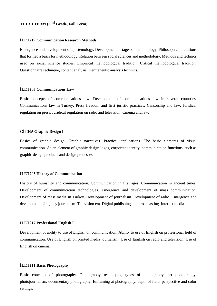#### **İLET219 Communication Research Methods**

Emergence and development of epistemology. Developmental stages of methodology. Philosophical traditions that formed a basis for methodology. Relation between social sciences and methodology. Methods and technics used on social science studies. Empirical methodological tradition. Critical methodological tradition. Questionnaire technique, content analysis. Hermeneutic analysis technics.

#### **İLET203 Communications Law**

Basic concepts of communications law. Development of communications law in several countries. Communications law in Turkey. Press freedom and first juristic practices. Censorship and law. Juridical regulation on press. Juridical regulation on radio and television. Cinema and law.

#### **GİT205 Graphic Design I**

Basics of graphic design. Graphic narratives. Practical applications. The basic elements of visual communication. As an element of graphic design logos, corporate identity, communication functions, such as graphic design products and design processes.

#### **İLET205 History of Communication**

History of humanity and communication. Communication in first ages. Communication in ancient times. Development of communication technologies. Emergence and development of mass communication. Development of mass media in Turkey. Development of journalism. Development of radio. Emergence and development of agency journalism. Television era. Digital publishing and broadcasting. Internet media.

#### **İLET217 Professional English I**

Development of ability to use of English on communication. Ability to use of English on professional field of communication. Use of English on printed media journalism. Use of English on radio and television. Use of English on cinema.

## **İLET211 Basic Photography**

Basic concepts of photography. Photography techniques, types of photography, art photography, photojournalism, documentary photography. Enframing at photography, depth of field, perspective and color settings.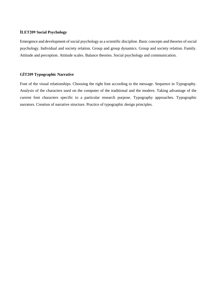# **İLET209 Social Psychology**

Emergence and development of social psychology as a scientific discipline. Basic concepts and theories of social psychology. Individual and society relation. Group and group dynamics. Group and society relation. Family. Attitude and perception. Attitude scales. Balance theories. Social psychology and communication.

# **GİT209 Typographic Narrative**

Font of the visual relationships. Choosing the right font according to the message. Sequence in Typography. Analysis of the characters used on the computer of the traditional and the modern. Taking advantage of the current font characters specific to a particular research purpose. Typography approaches. Typographic narrators. Creation of narrative structure. Practice of typographic design principles.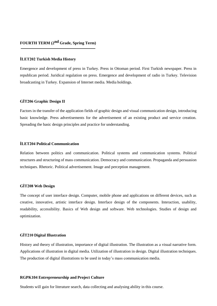# **FOURTH TERM (2nd Grade, Spring Term)**

#### **İLET202 Turkish Media History**

Emergence and development of press in Turkey. Press in Ottoman period. First Turkish newspaper. Press in republican period. Juridical regulation on press. Emergence and development of radio in Turkey. Television broadcasting in Turkey. Expansion of Internet media. Media holdings.

### **GİT206 Graphic Design II**

Factors in the transfer of the application fields of graphic design and visual communication design, introducing basic knowledge. Press advertisements for the advertisement of an existing product and service creation. Spreading the basic design principles and practice for understanding.

#### **İLET204 Political Communication**

Relation between politics and communication. Political systems and communication systems. Political structures and structuring of mass communication. Democracy and communication. Propaganda and persuasion techniques. Rhetoric. Political advertisement. Image and perception management.

#### **GİT208 Web Design**

The concept of user interface design. Computer, mobile phone and applications on different devices, such as creative, innovative, artistic interface design. Interface design of the components. Interaction, usability, readability, accessibility. Basics of Web design and software. Web technologies. Studies of design and optimization.

#### **GİT210 Digital Illustration**

History and theory of illustration, importance of digital illustration. The illustration as a visual narrative form. Applications of illustration in digital media. Utilization of illustration in design. Digital illustration techniques. The production of digital illustrations to be used in today's mass communication media.

#### **RGPK104 Entrepreneurship and Project Culture**

Students will gain for literature search, data collecting and analysing ability in this course.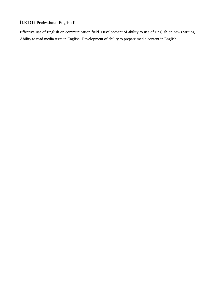# **İLET214 Professional English II**

Effective use of English on communication field. Development of ability to use of English on news writing. Ability to read media texts in English. Development of ability to prepare media content in English.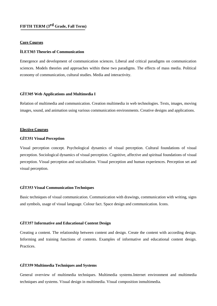# **FIFTH TERM (3rd Grade, Fall Term)**

# **Core Courses**

## **İLET303 Theories of Communication**

Emergence and development of communication sciences. Liberal and critical paradigms on communication sciences. Models theories and approaches within these two paradigms. The effects of mass media. Political economy of communication, cultural studies. Media and interactivity.

#### **GİT305 Web Applications and Multimedia I**

Relation of multimedia and communication. Creation multimedia in web technologies. Texts, images, moving images, sound, and animation using various communication environments. Creative designs and applications.

#### **Elective Courses**

#### **GİT351 Visual Perception**

Visual perception concept. Psychological dynamics of visual perception. Cultural foundations of visual perception. Sociological dynamics of visual perception. Cognitive, affective and spiritual foundations of visual perception. Visual perception and socialisation. Visual perception and human experiences. Perception set and visual perception.

#### **GİT353 Visual Communication Techniques**

Basic techniques of visual communication. Communication with drawings, communication with writing, signs and symbols, usage of visual language. Colour fact. Space design and communication. Icons.

#### **GİT357 Informative and Educational Content Design**

Creating a content. The relationship between content and design. Create the content with according design. Informing and training functions of contents. Examples of informative and educational content design. **Practices** 

#### **GİT359 Multimedia Techniques and Systems**

General overview of multimedia techniques. Multimedia systems.Internet environment and multimedia techniques and systems. Visual design in multimedia. Visual composition inmultimedia.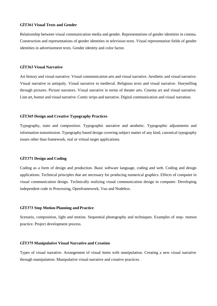## **GİT361 Visual Texts and Gender**

Relationship between visual communication media and gender. Representations of gender identities in cinema. Construction and representations of gender identities in television texts. Visual representation fields of gender identities in advertisement texts. Gender identity and color factor.

#### **GİT363 Visual Narrative**

Art history and visual narrative. Visual communication arts and visual narrative. Aesthetic and visual narrative. Visual narrative in antiquity. Visual narrative in medieval. Religious texts and visual narrative. Storytelling through pictures. Picture narrators. Visual narrative in terms of theater arts. Cinema art and visual narrative. Line art, humor and visual narrative. Comic strips and narrative. Digital communication and visual narration.

## **GİT365 Design and Creative Typography Practices**

Typography, stain and composition. Typographic narrative and aesthetic. Typographic adjustments and information transmission. Typography based design covering subject matter of any kind, canonical typography issues other than framework, real or virtual target applications.

#### **GİT371 Design and Coding**

Coding as a form of design and production. Basic software language, coding and web. Coding and design applications. Technical principles that are necessary for producing numerical graphics. Effects of computer in visual communication design. Technically realizing visual communication design in computer. Developing independent code in Processing, Openframework, Vuo and Nodebox.

#### **GİT373 Stop Motion Planning and Practice**

Scenario, composition, light and motion. Sequential photography and techniques. Examples of stop- motion practice. Project development process.

#### **GİT375 Manipulative Visual Narrative and Creation**

Types of visual narrative. Arrangement of visual items with manipulation. Creating a new visual narrative through manipulation. Manipulative visual narrative and creative practices.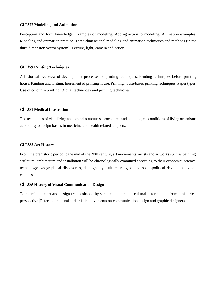## **GİT377 Modeling and Animation**

Perception and form knowledge. Examples of modeling. Adding action to modeling. Animation examples. Modeling and animation practice. Three-dimensional modeling and animation techniques and methods (in the third dimension vector system). Texture, light, camera and action.

# **GİT379 Printing Techniques**

A historical overview of development processes of printing techniques. Printing techniques before printing house. Painting and writing. Inurement of printing house. Printing house-based printing techniques. Paper types. Use of colour in printing. Digital technology and printing techniques.

# **GİT381 Medical Illustration**

The techniques of visualizing anatomical structures, procedures and pathological conditions of living organisms according to design basics in medicine and health related subjects.

# **GİT383 Art History**

From the prehistoric period to the mid of the 20th century, art movements, artists and artworks such as painting, sculpture, architecture and installation will be chronologically examined according to their economic, science, technology, geographical discoveries, demography, culture, religion and socio-political developments and changes.

# **GİT385 History of Visual Communication Design**

To examine the art and design trends shaped by socio-economic and cultural determinants from a historical perspective. Effects of cultural and artistic movements on communication design and graphic designers.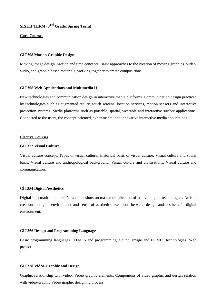# **SIXTH TERM (3rd Grade, Spring Term)**

## **Core Courses**

## **GİT308 Motion Graphic Design**

Moving image design. Motion and time concepts. Basic approaches to the creation of moving graphics. Video, audio, and graphic based materials, working together to create compositions.

#### **GİT306 Web Applications and Multimedia II**

New technologies and communication design in interactive media platforms. Communication design practiced by technologies such as augmented reality, touch screens, location services, motion sensors and interactive projection systems. Media platforms such as portable, spatial, wearable and interactive surface applications. Connected to the users, the concept-oriented, experimental and innovative interactive media applications.

# **Elective Courses**

## **GİT352 Visual Culture**

Visual culture concept. Types of visual culture. Historical basis of visual culture. Visual culture and social basis. Visual culture and anthropological background. Visual culture and civilisations. Visual culture and communication.

#### **GİT354 Digital Aesthetics**

Digital informatics and arts. New dimensions on mass multiplication of arts via digital technologies. Artistic creation in digital environment and sense of aesthetics. Relations between design and aesthetic in digital environment.

#### **GİT356 Design and Programming Language**

Basic programming languages. HTML5 and programming. Sound, image and HTML5 technologies. Web project.

#### **GİT358 Video-Graphic and Design**

Graphic relationship with video. Video graphic elements. Components of video graphic and design relation with video-graphic Video graphic designing process.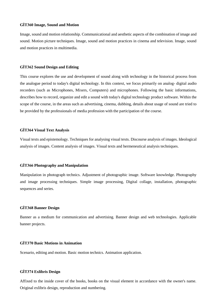#### **GİT360 Image, Sound and Motion**

Image, sound and motion relationship. Communicational and aesthetic aspects of the combination of image and sound. Motion picture techniques. Image, sound and motion practices in cinema and television. Image, sound and motion practices in multimedia.

#### **GİT362 Sound Design and Editing**

This course explores the use and development of sound along with technology in the historical process from the analogue period to today's digital technology. In this context, we focus primarily on analog- digital audio recorders (such as Microphones, Mixers, Computers) and microphones. Following the basic informations, describes how to record, organize and edit a sound with today's digital technology product software. Within the scope of the course, in the areas such as advertising, cinema, dubbing, details about usage of sound are tried to be provided by the professionals of media profession with the participation of the course.

#### **GİT364 Visual Text Analysis**

Visual texts and epistemology. Techniques for analysing visual texts. Discourse analysis of images. Ideological analysis of images. Content analysis of images. Visual texts and hermeneutical analysis techniques.

#### **GİT366 Photography and Manipulation**

Manipulation in photograph technics. Adjustment of photographic image. Software knowledge. Photography and image processing techniques. Simple image processing, Digital collage, installation, photographic sequences and series.

## **GİT368 Banner Design**

Banner as a medium for communication and advertising. Banner design and web technologies. Applicable banner projects.

#### **GİT370 Basic Motions in Animation**

Scenario, editing and motion. Basic motion technics. Animation application.

# **GİT374 Exlibris Design**

Affixed to the inside cover of the books, books on the visual element in accordance with the owner's name. Original exlibris design, reproduction and numbering.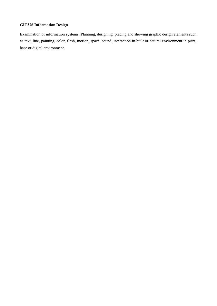# **GİT376 Information Design**

Examination of information systems. Planning, designing, placing and showing graphic design elements such as text, line, painting, color, flash, motion, space, sound, interaction in built or natural environment in print, base or digital environment.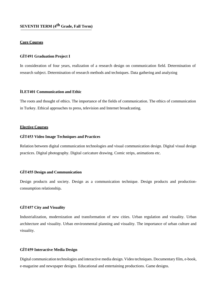# **SEVENTH TERM (4th Grade, Fall Term)**

## **Core Courses**

#### **GİT491 Graduation Project I**

In consideration of four years, realization of a research design on communication field. Determination of research subject. Determination of research methods and techniques. Data gathering and analyzing

#### **İLET401 Communication and Ethic**

The roots and thought of ethics. The importance of the fields of communication. The ethics of communication in Turkey. Ethical approaches to press, television and Internet broadcasting.

#### **Elective Courses**

#### **GİT453 Video Image Techniques and Practices**

Relation between digital communication technologies and visual communication design. Digital visual design practices. Digital photography. Digital caricature drawing. Comic strips, animations etc.

#### **GİT455 Design and Communication**

Design products and society. Design as a communication technique. Design products and productionconsumption relationship**.**

# **GİT457 City and Visuality**

Industrialization, modernization and transformation of new cities. Urban regulation and visuality. Urban architecture and visuality. Urban environmental planning and visuality. The importance of urban culture and visuality.

#### **GİT459 Interactive Media Design**

Digital communication technologies and interactive media design. Video techniques. Documentary film, e-book, e-magazine and newspaper designs. Educational and entertaining productions. Game designs.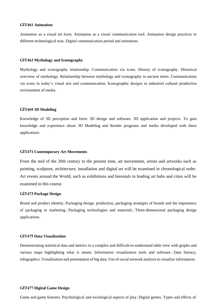### **GİT461 Animation**

Animation as a visual art form. Animation as a visual communication tool. Animation design practices in different technological eras. Digital communication period and animation.

#### **GİT463 Mythology and Iconography**

Mythology and iconography relationship. Communication via icons. History of iconography. Historical overview of mythology. Relationship between mythology and iconography in ancient times. Communication via icons in today's visual arts and communication. Iconographic designs in industrial cultural production environment of media.

## **GİT469 3D Modeling**

Knowledge of 3D perception and form. 3D design and software. 3D application and projects. To gain knowledge and experience about 3D Modeling and Render programs and media developed with these applications

#### **GİT471 Contemporary Art Movements**

From the mid of the 20th century to the present time, art movements, artists and artworks such as painting, sculpture, architecture, installation and digital art will be examined in chronological order. Art events around the World, such as exhibitions and biennials in leading art hubs and cities will be examined in this course.

# **GİT473 Package Design**

Brand and product identity. Packaging design, production, packaging strategies of brands and the importance of packaging in marketing. Packaging technologies and materials. Three-dimensional packaging design applications.

# **GİT475 Data Visualization**

Demonstrating statistical data and metrics in a complex and difficult-to-understand table view with graphs and various maps highlighting what is meant. Information visualization tools and software. Data literacy, infographics. Visualization and presentation of big data. Use of social network analysis to visualize information.

# **GİT477 Digital Game Design**

Game and game features. Psychological and sociological aspects of play. Digital games. Types and effects of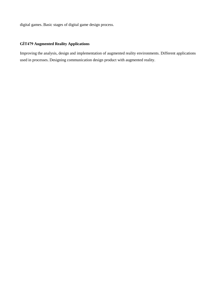digital games. Basic stages of digital game design process.

# **GİT479 Augmented Reality Applications**

Improving the analysis, design and implementation of augmented reality environments. Different applications used in processes. Designing communication design product with augmented reality.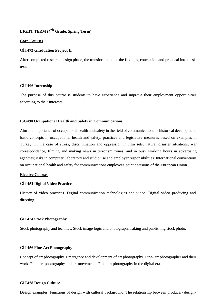# **EIGHT TERM (4th Grade, Spring Term)**

#### **Core Courses**

# **GİT492 Graduation Project II**

After completed research design phase, the transformation of the findings, conclusion and proposal into thesis text.

# **GİT406 Internship**

The purpose of this course is students to have experience and improve their employment opportunities according to their interests.

#### **ISG490 Occupational Health and Safety in Communications**

Aim and importance of occupational health and safety in the field of communication, its historical development; basic concepts in occupational health and safety, practices and legislative measures based on examples in Turkey. In the case of stress, discrimination and oppression in film sets, natural disaster situations, war correspondence, filming and making news in terrorism zones, and in busy working hours in advertising agencies; risks in computer, laboratory and studio use and employer responsibilities. International conventions on occupational health and safety for communications employees, joint decisions of the European Union.

#### **Elective Courses**

#### **GİT452 Digital Video Practices**

History of video practices. Digital communication technologies and video. Digital video producing and directing.

## **GİT454 Stock Photography**

Stock photography and technics. Stock image logic and photograph. Taking and publishing stock photo.

# **GİT456 Fine-Art Photography**

Concept of art photography. Emergence and development of art photography. Fine- art photographer and their work. Fine- art photography and art movements. Fine- art photography in the digital era.

#### **GİT458 Design Culture**

Design examples. Functions of design with cultural background. The relationship between producer- design-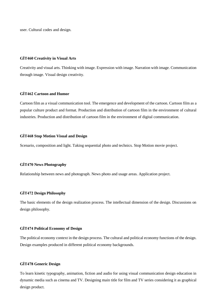user. Cultural codes and design.

## **GİT460 Creativity in Visual Arts**

Creativity and visual arts. Thinking with image. Expression with image. Narration with image. Communication through image. Visual design creativity.

## **GİT462 Cartoon and Humor**

Cartoon film as a visual communication tool. The emergence and development of the cartoon. Cartoon film as a popular culture product and format. Production and distribution of cartoon film in the environment of cultural industries. Production and distribution of cartoon film in the environment of digital communication.

## **GİT468 Stop Motion Visual and Design**

Scenario, composition and light. Taking sequential photo and technics. Stop Motion movie project.

#### **GİT470 News Photography**

Relationship between news and photograph. News photo and usage areas. Application project.

#### **GİT472 Design Philosophy**

The basic elements of the design realization process. The intellectual dimension of the design. Discussions on design philosophy.

## **GİT474 Political Economy of Design**

The political economy context in the design process. The cultural and political economy functions of the design. Design examples produced in different political economy backgrounds.

# **GİT478 Generic Design**

To learn kinetic typography, animation, fiction and audio for using visual communication design education in dynamic media such as cinema and TV. Designing main title for film and TV series considering it as graphical design product.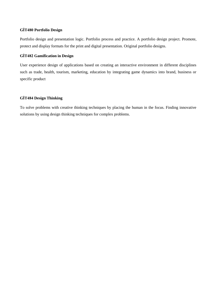# **GİT480 Portfolio Design**

Portfolio design and presentation logic. Portfolio process and practice. A portfolio design project. Promote, protect and display formats for the print and digital presentation. Original portfolio designs.

# **GİT482 Gamification in Design**

User experience design of applications based on creating an interactive environment in different disciplines such as trade, health, tourism, marketing, education by integrating game dynamics into brand, business or specific product

# **GİT484 Design Thinking**

To solve problems with creative thinking techniques by placing the human in the focus. Finding innovative solutions by using design thinking techniques for complex problems.